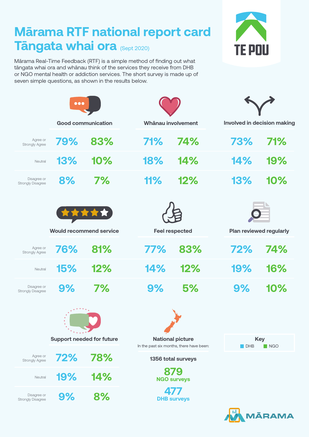## **Mārama RTF national report card Tāngata whai ora** (Sept 2020)

Mārama Real-Time Feedback (RTF) is a simple method of finding out what tāngata whai ora and whānau think of the services they receive from DHB or NGO mental health or addiction services. The short survey is made up of seven simple questions, as shown in the results below.







|                                         | $\bullet\bullet\bullet$                        |     |     |                       |     |                                    |  |
|-----------------------------------------|------------------------------------------------|-----|-----|-----------------------|-----|------------------------------------|--|
|                                         | <b>Good communication</b>                      |     |     | Whānau involvement    |     | <b>Involved in decision making</b> |  |
| Agree or<br><b>Strongly Agree</b>       | 79%                                            | 83% | 71% | 74%                   | 73% | 71%                                |  |
| Neutral                                 | 13%                                            | 10% | 18% | 14%                   | 14% | 19%                                |  |
| Disagree or<br><b>Strongly Disagree</b> | 8%                                             | 7%  | 11% | 12%                   | 13% | 10%                                |  |
|                                         | <b>*****</b><br><b>Would recommend service</b> |     |     | <b>Feel respected</b> |     | <b>Plan reviewed regularly</b>     |  |
| Agree or<br><b>Strongly Agree</b>       | 76%                                            | 81% | 77% | 83%                   | 72% | 74%                                |  |
| Neutral                                 | 15%                                            | 12% | 14% | 12%                   | 19% | 16%                                |  |
| Disagree or<br><b>Strongly Disagree</b> | 9%                                             | 7%  | 9%  | 5%                    | 9%  | 10%                                |  |
|                                         |                                                |     |     |                       |     |                                    |  |